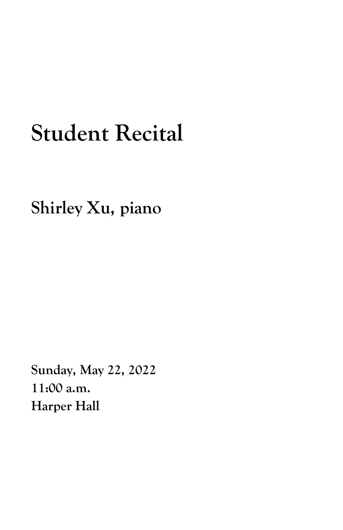## **Student Recital**

**Shirley Xu, piano**

**Sunday, May 22, 2022 11:00 a.m. Harper Hall**